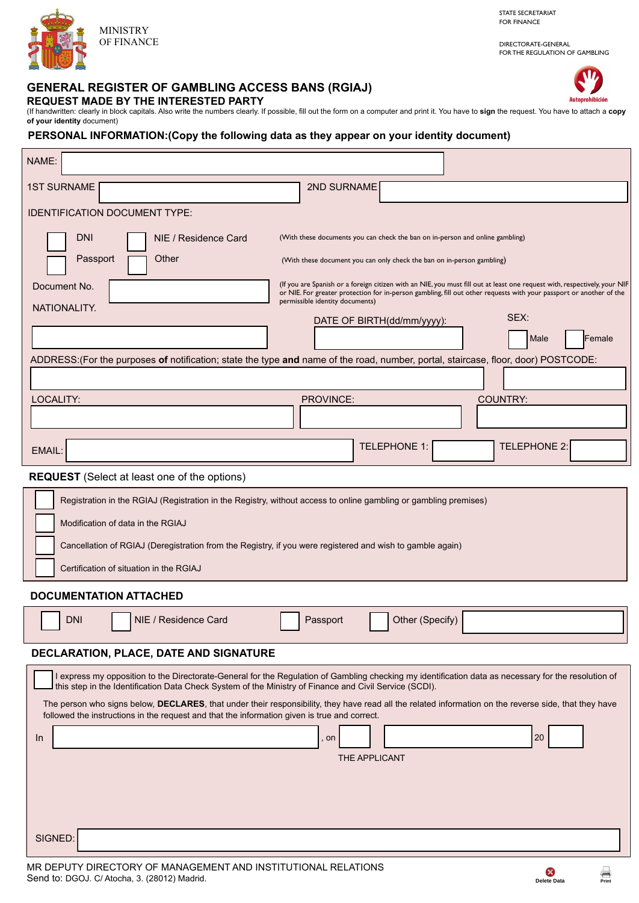

STATE SECRETARIAT FOR FINANCE

DIRECTORATE-GENERAL FOR THE REGULATION OF GAMBLING

Autoprohibición

# **GENERAL REGISTER OF GAMBLING ACCESS BANS (RGIAJ)**

**REQUEST MADE BY THE INTERESTED PARTY** 

(If handwritten: clearly in block capitals. Also write the numbers clearly. If possible, fill out the form on a computer and print it. You have to **sign** the request. You have to attach a **copy of your identity** document)

# **PERSONAL INFORMATION:(Copy the following data as they appear on your identity document)**

| NAME:                                                                                                                                                                                                                                                                                                                                                                                                                                                                                                                                                         |
|---------------------------------------------------------------------------------------------------------------------------------------------------------------------------------------------------------------------------------------------------------------------------------------------------------------------------------------------------------------------------------------------------------------------------------------------------------------------------------------------------------------------------------------------------------------|
| <b>1ST SURNAME</b><br><b>2ND SURNAME</b>                                                                                                                                                                                                                                                                                                                                                                                                                                                                                                                      |
| <b>IDENTIFICATION DOCUMENT TYPE:</b>                                                                                                                                                                                                                                                                                                                                                                                                                                                                                                                          |
| DNI<br>(With these documents you can check the ban on in-person and online gambling)<br>NIE / Residence Card<br>Passport<br>Other<br>(With these document you can only check the ban on in-person gambling)                                                                                                                                                                                                                                                                                                                                                   |
| (If you are Spanish or a foreign citizen with an NIE, you must fill out at least one request with, respectively, your NIF<br>Document No.<br>or NIE. For greater protection for in-person gambling, fill out other requests with your passport or another of the                                                                                                                                                                                                                                                                                              |
| permissible identity documents)<br>NATIONALITY.<br>SEX:                                                                                                                                                                                                                                                                                                                                                                                                                                                                                                       |
| DATE OF BIRTH(dd/mm/yyyy):<br>Female<br>Male                                                                                                                                                                                                                                                                                                                                                                                                                                                                                                                  |
| ADDRESS: (For the purposes of notification; state the type and name of the road, number, portal, staircase, floor, door) POSTCODE:                                                                                                                                                                                                                                                                                                                                                                                                                            |
|                                                                                                                                                                                                                                                                                                                                                                                                                                                                                                                                                               |
| <b>COUNTRY:</b><br>LOCALITY:<br>PROVINCE:                                                                                                                                                                                                                                                                                                                                                                                                                                                                                                                     |
|                                                                                                                                                                                                                                                                                                                                                                                                                                                                                                                                                               |
| TELEPHONE 1:<br><b>TELEPHONE 2:</b><br>EMAIL:                                                                                                                                                                                                                                                                                                                                                                                                                                                                                                                 |
| <b>REQUEST</b> (Select at least one of the options)                                                                                                                                                                                                                                                                                                                                                                                                                                                                                                           |
| Registration in the RGIAJ (Registration in the Registry, without access to online gambling or gambling premises)<br>Modification of data in the RGIAJ<br>Cancellation of RGIAJ (Deregistration from the Registry, if you were registered and wish to gamble again)<br>Certification of situation in the RGIAJ                                                                                                                                                                                                                                                 |
| <b>DOCUMENTATION ATTACHED</b>                                                                                                                                                                                                                                                                                                                                                                                                                                                                                                                                 |
| Other (Specify)<br><b>DNI</b><br>NIE / Residence Card<br>Passport                                                                                                                                                                                                                                                                                                                                                                                                                                                                                             |
| DECLARATION, PLACE, DATE AND SIGNATURE                                                                                                                                                                                                                                                                                                                                                                                                                                                                                                                        |
| I express my opposition to the Directorate-General for the Regulation of Gambling checking my identification data as necessary for the resolution of<br>this step in the Identification Data Check System of the Ministry of Finance and Civil Service (SCDI).<br>The person who signs below, DECLARES, that under their responsibility, they have read all the related information on the reverse side, that they have<br>followed the instructions in the request and that the information given is true and correct.<br>20<br>In.<br>, on<br>THE APPLICANT |
| SIGNED:                                                                                                                                                                                                                                                                                                                                                                                                                                                                                                                                                       |